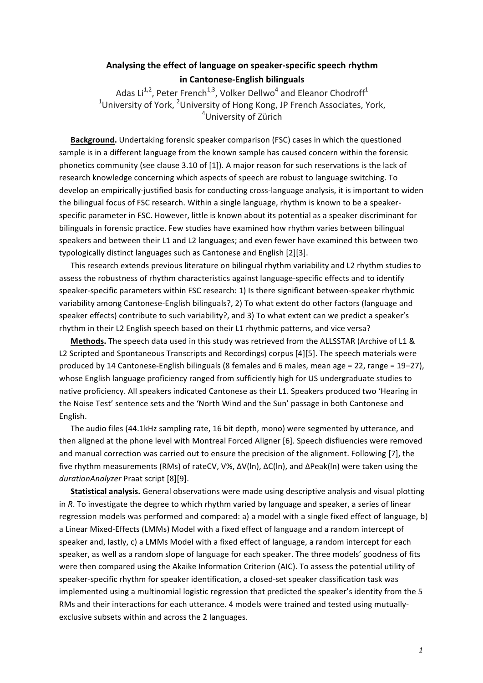## Analysing the effect of language on speaker-specific speech rhythm **in Cantonese-English bilinguals**

Adas Li<sup>1,2</sup>, Peter French<sup>1,3</sup>, Volker Dellwo<sup>4</sup> and Eleanor Chodroff<sup>1</sup> <sup>1</sup>University of York, <sup>2</sup>University of Hong Kong, JP French Associates, York, <sup>4</sup>University of Zürich

**Background.** Undertaking forensic speaker comparison (FSC) cases in which the questioned sample is in a different language from the known sample has caused concern within the forensic phonetics community (see clause  $3.10$  of [1]). A major reason for such reservations is the lack of research knowledge concerning which aspects of speech are robust to language switching. To develop an empirically-justified basis for conducting cross-language analysis, it is important to widen the bilingual focus of FSC research. Within a single language, rhythm is known to be a speakerspecific parameter in FSC. However, little is known about its potential as a speaker discriminant for bilinguals in forensic practice. Few studies have examined how rhythm varies between bilingual speakers and between their L1 and L2 languages; and even fewer have examined this between two typologically distinct languages such as Cantonese and English [2][3].

This research extends previous literature on bilingual rhythm variability and L2 rhythm studies to assess the robustness of rhythm characteristics against language-specific effects and to identify speaker-specific parameters within FSC research: 1) Is there significant between-speaker rhythmic variability among Cantonese-English bilinguals?, 2) To what extent do other factors (language and speaker effects) contribute to such variability?, and 3) To what extent can we predict a speaker's rhythm in their L2 English speech based on their L1 rhythmic patterns, and vice versa?

Methods. The speech data used in this study was retrieved from the ALLSSTAR (Archive of L1 & L2 Scripted and Spontaneous Transcripts and Recordings) corpus [4][5]. The speech materials were produced by 14 Cantonese-English bilinguals (8 females and 6 males, mean age = 22, range =  $19-27$ ), whose English language proficiency ranged from sufficiently high for US undergraduate studies to native proficiency. All speakers indicated Cantonese as their L1. Speakers produced two 'Hearing in the Noise Test' sentence sets and the 'North Wind and the Sun' passage in both Cantonese and English.

The audio files (44.1kHz sampling rate, 16 bit depth, mono) were segmented by utterance, and then aligned at the phone level with Montreal Forced Aligner [6]. Speech disfluencies were removed and manual correction was carried out to ensure the precision of the alignment. Following [7], the five rhythm measurements (RMs) of rateCV, V%,  $\Delta V(\ln)$ ,  $\Delta C(\ln)$ , and  $\Delta$ Peak(ln) were taken using the durationAnalyzer Praat script [8][9].

**Statistical analysis.** General observations were made using descriptive analysis and visual plotting in R. To investigate the degree to which rhythm varied by language and speaker, a series of linear regression models was performed and compared: a) a model with a single fixed effect of language, b) a Linear Mixed-Effects (LMMs) Model with a fixed effect of language and a random intercept of speaker and, lastly, c) a LMMs Model with a fixed effect of language, a random intercept for each speaker, as well as a random slope of language for each speaker. The three models' goodness of fits were then compared using the Akaike Information Criterion (AIC). To assess the potential utility of speaker-specific rhythm for speaker identification, a closed-set speaker classification task was implemented using a multinomial logistic regression that predicted the speaker's identity from the 5 RMs and their interactions for each utterance. 4 models were trained and tested using mutuallyexclusive subsets within and across the 2 languages.